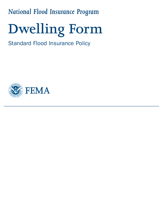*National Flood Insurance Program*

# **Dwelling Form**

Standard Flood Insurance Policy

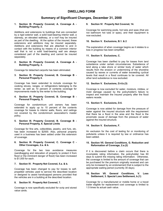# **Summary of Significant Changes, December 31, 2000**

# **1. Section III. Property Covered, A. Coverage A - Building Property, 2.**

Additions and extensions to buildings that are connected by a rigid exterior wall, a solid load-bearing interior wall, a stairway, an elevated walkway, or a roof may be insured as part of the dwelling. At the option of the insured, these extensions and additions may be insured separately. Additions and extensions that are attached to and in contact with the building by means of a common interior wall that is not a solid load-bearing wall are always considered part of the dwelling and cannot be insured separately.

#### **2. Section III. Property Covered, A. Coverage A - Building Property, 3.**

Coverage for detached carports has been eliminated.

# **3. Section III. Property Covered, B. Coverage B - Personal Property 4.**

Coverage has been extended to include coverage for cooking stoves, ranges, or refrigerators belonging to the renter, as well as 10 percent of contents coverage for improvements made by the renter to the building.

# **4. Section III. Property Covered, B. Coverage B - Personal Property, 5.**

Coverage for condominium unit owners has been extended to apply up to 10 percent of the contents coverage for losses to interior walls, floors, and ceilings not covered by the condominium association's master policy.

#### **5. Section III. Property Covered, B. Coverage B - Personal Property, 6. Special Limits**

Coverage for fine arts, collectibles, jewelry, and furs, etc. has been increased to \$2500. Also, personal property used in a business has been added under this extension of coverage.

### **6. Section III. Property Covered, C. Coverage C - Other Coverages, 2.a. & b.**

Coverage for the two loss avoidance measures (sandbagging and relocation of property to protect it from flood or the imminent danger of flood) has been increased to \$1,000 for each.

# **7. Section IV. Property Not Covered, 5.a. & b.**

Coverage has been changed to pay for losses to selfpropelled vehicles used to service the described location or designed to assist handicapped persons provided that the vehicles are in a building at the described location.

# **8. Section IV. Property Not Covered, 7.**

Coverage is now specifically excluded for scrip and stored value cards.

# **9. Section IV. Property Not Covered, 14.**

Coverage for swimming pools, hot tubs and spas (that are not bathroom hot tubs or spas), and their equipment is now excluded.

# **10. Section V. Exclusions, B.1. & 2**

The explanation of when coverage begins as it relates to a loss in progress has been simplified.

# **11. Section V. Exclusions, C.**

Coverage has been clarified to pay for losses from land subsidence under certain circumstances. Subsidence of land along a lake shore or similar body of water which results from the erosion or undermining of the shoreline caused by waves or currents of water exceeding cyclical levels that result in a flood continues to be covered. All other land subsidence is now excluded.

# **12. Section V. Exclusions, D.4.b.(3)**

Coverage is now excluded for water, moisture, mildew, or mold damage caused by the policyholder's failure to inspect and maintain the insured property after the flood waters recede.

# **13. Section V. Exclusions, D.6.**

Coverage is now added for damage from the pressure of water against the insured structure with the requirement that there be a flood in the area and the flood is the proximate cause of damage from the pressure of water against the insured structure.

# **14. Section V. Exclusions, F.**

An exclusion for the cost of testing for or monitoring of pollutants unless it is required by law or ordinance has .<br>been added.

# **15. Section VII. General Conditions, G. Reduction and Reformation of Coverage, 2.a.(2)**

If it is discovered before a claim occurs that there is incomplete rating information, the policyholder has 60 days to submit the missing rating information. Otherwise, the coverage is limited to the amount of coverage that can be purchased for the premium originally received and can only be increased by an endorsement that is subject to the appropriate waiting period (currently 30 days).

# **16. Section VII. General Conditions, V. Loss Settlement, 3. Special Loss Settlement, b.(1)**

Coverage for a manufactured or mobile home or a travel trailer eligible for replacement cost coverage is limited to 1.5 times its actual cash value.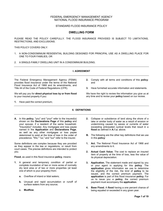# FEDERAL EMERGENCY MANAGEMENT AGENCY NATIONAL FLOOD INSURANCE PROGRAM

# STANDARD FLOOD INSURANCE POLICY

# **DWELLING FORM**

PLEASE READ THE POLICY CAREFULLY. THE FLOOD INSURANCE PROVIDED IS SUBJECT TO LIMITATIONS, RESTRICTIONS, AND EXCLUSIONS.

THIS POLICY COVERS ONLY:

- 1. A NON-CONDOMINIUM RESIDENTIAL BUILDING DESIGNED FOR PRINCIPAL USE AS A DWELLING PLACE FOR ONE TO FOUR FAMILIES, OR
- 2. A SINGLE-FAMILY DWELLING UNIT IN A CONDOMINIUM BUILDING.

# **I. AGREEMENT**

The Federal Emergency Management Agency (FEMA) provides flood insurance under the terms of the National Flood Insurance Act of 1968 and its amendments, and Title 44 of the Code of Federal Regulations (CFR).

We will pay you for **direct physical loss by or from flood** to your insured property if you:

**1.** Have paid the correct premium;

- **2.** Comply with all terms and conditions of this **policy**; and
- **3.** Have furnished accurate information and statements.

We have the right to review the information you give us at any time and to revise your **policy** based on our review.

# **II. DEFINITIONS**

**A.** In this **policy**, "you" and "your" refer to the insured(s) shown on the **Declarations Page** of this **policy** and your spouse, if a resident of the same household. "Insured(s)" includes: Any mortgagee and loss payee named in the **Application** and **Declarations Page**, as well as any other mortgagee or loss payee determined to exist at the time of loss in the order of precedence. "We," "us," and "our" refer to the insurer.

Some definitions are complex because they are provided as they appear in the law or regulations, or result from court cases. The precise definitions are intended to protect you.

**Flood**, as used in this flood insurance **policy**, means:

- **1.** A general and temporary condition of partial or complete inundation of two or more acres of normally dry land area or of two or more properties (at least one of which is your property) from:
	- **a.** Overflow of inland or tidal waters;
	- **b.** Unusual and rapid accumulation or runoff of surface waters from any source;
	- **c. Mudflow**.
- **2.** Collapse or subsidence of land along the shore of a lake or similar body of water as a result of erosion or undermining caused by waves or currents of water exceeding anticipated cyclical levels that result in a **flood** as defined in **A.1.a**. above.
- **B.** The following are the other key definitions that we use in this **policy**:
- **1. Act.** The National Flood Insurance Act of 1968 and any amendments to it.
- **2. Actual Cash Value.** The cost to replace an insured item of property at the time of loss, less the value of its physical depreciation.
- **3. Application.** The statement made and signed by you or your agent in applying for this **policy**. The **application** gives information we use to determine the eligibility of the risk, the kind of **policy** to be issued, and the correct premium payment. The **application** is part of this flood insurance **policy.** For us to issue you a **policy**, the correct premium payment must accompany the **application**.
- **4. Base Flood.** A **flood** having a one percent chance of being equaled or exceeded in any given year.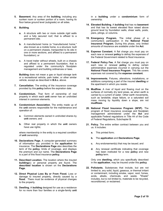**5. Basement.** Any area of the **building**, including any sunken room or sunken portion of a room, having its floor below ground level (subgrade) on all sides.

# **6. Building**.

- **a.** A structure with two or more outside rigid walls and a fully secured roof, that is affixed to a permanent site;
- **b.** A manufactured home (a "manufactured home," also known as a mobile home, is a structure: built on a permanent chassis, transported to its site in one or more sections, and affixed to a permanent foundation); or
- **c.** A travel trailer without wheels, built on a chassis and affixed to a permanent foundation, that is regulated under the community's floodplain management and building ordinances or laws.

**Building** does not mean a gas or liquid storage tank or a recreational vehicle, park trailer, or other similar vehicle, except as described in **B.6.c.** above.

- **7. Cancellation.** The ending of the insurance coverage provided by this **policy** before the expiration date.
- **8. Condominium.** That form of ownership of real property in which each **unit** owner has an undivided interest in common elements.
- **9. Condominium Association**. The entity made up of the **unit** owners responsible for the maintenance and operation of:
	- **a.** Common elements owned in undivided shares by **unit** owners; and
	- **b.** Other real property in which the **unit** owners have use rights;

where membership in the entity is a required condition of **unit** ownership.

- **10. Declarations Page.** A computer-generated summary of information you provided in the **application** for insurance. The **Declarations Page** also describes the term of the **policy**, limits of coverage, and displays the premium and our name. The **Declarations Page** is a part of this flood insurance **policy.**
- **11. Described Location.** The location where the insured **building**(s) or personal property are found. The **described location** is shown on the **Declarations Page.**
- **12. Direct Physical Loss By or From Flood.** Loss or damage to insured property, directly caused by a **flood**. There must be evidence of physical changes to the property.
- **13. Dwelling.** A **building** designed for use as a residence for no more than four families or a single-family **unit**

in a **building** under a **condominium** form of ownership.

- **14. Elevated Building.** A **building** that has no **basement** and that has its lowest elevated floor raised above ground level by foundation walls, shear walls, posts, piers, pilings, or columns.
- **15. Emergency Program.** The initial phase of a community's participation in the **National Flood Insurance Program.** During this phase, only limited amounts of insurance are available under the **Act**.
- **16. Expense Constant.** A flat charge you must pay on each new or renewal **policy** to defray the expenses of the Federal Government related to flood insurance.
- **17. Federal Policy Fee.** A flat charge you must pay on each new or renewal **policy** to defray certain administrative expenses incurred in carrying out the **National Flood Insurance Program**. This fee covers expenses not covered by the **expense constant.**
- **18. Improvements.** Fixtures, alterations, installations, or additions comprising a part of the insured **dwelling** or the apartment in which you reside.
- **19. Mudflow.** A river of liquid and flowing mud on the surfaces of normally dry land areas, as when earth is carried by a current of water. Other earth movements, such as landslide, slope failure, or a saturated soil mass moving by liquidity down a slope, are not **mudflows**.
- **20. National Flood Insurance Program (NFIP).** The program of flood insurance coverage and floodplain management administered under the **Act** and applicable Federal regulations in Title 44 of the Code of Federal Regulations, Subchapter B.
- **21. Policy.** The entire written contract between you and us. It includes:
	- **a.** This printed form;
	- **b.** The **application** and **Declarations Page**;
	- **c.** Any endorsement(s) that may be issued; and
	- **d.** Any renewal certificate indicating that coverage has been instituted for a new **policy** and new **policy** term.

Only one **dwelling,** which you specifically described in the **application**, may be insured under this **policy**.

**22. Pollutants.** Substances that include, but are not limited to, any solid, liquid, gaseous, or thermal irritant or contaminant, including smoke, vapor, soot, fumes, acids, alkalis, chemicals, and waste. "Waste" includes, but is not limited to, materials to be recycled, reconditioned, or reclaimed.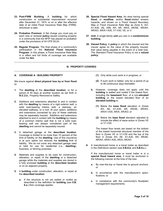- **23. Post-FIRM Building.** A **building** for which construction or substantial improvement occurred after December 31, 1974, or on or after the effective date of an initial Flood Insurance Rate Map (FIRM), whichever is later.
- **24. Probation Premium.** A flat charge you must pay on each new or renewal **policy** issued covering property in a community that the NFIP has placed on probation under the provisions of 44 CFR 59.24**.**
- **25. Regular Program.** The final phase of a community's participation in the **National Flood Insurance Program.** In this phase, a Flood Insurance Rate Map is in effect and full limits of coverage are available under the **Act.**
- **26. Special Flood Hazard Area.** An area having special **flood,** or **mudflow**, and/or **flood**-related erosion hazards, and shown on a Flood Hazard Boundary Map or Flood Insurance Rate Map as Zone A, AO, A1-A30, AE, A99, AH, AR, AR/A*,* AR/AE, AR/AH, AR/AO, AR/A1-A30, V1-V30, VE, or V.
- **27. Unit.** A single-family **unit** you own in a **condominium building**.
- **28. Valued Policy.** A **policy** in which the insured and the insurer agree on the value of the property insured, that value being payable in the event of a total loss. The Standard Flood Insurance Policy is not a **valued policy.**

# **III. PROPERTY COVERED**

# **A. COVERAGE A - BUILDING PROPERTY**

We insure against **direct physical loss by or from flood** to:

- **1.** The **dwelling** at the **described location**, or for a period of 45 days at another location as set forth in **III.C.2.b**., Property Removed to Safety.
- **2.** Additions and extensions attached to and in contact with the **dwelling** by means of a rigid exterior wall, a solid load-bearing interior wall, a stairway, an elevated walkway, or a roof. At your option, additions and extensions connected by any of these methods may be separately insured. Additions and extensions attached to and in contact with the **building** by means of a common interior wall that is not a solid loadbearing wall are always considered part of the **dwelling** and cannot be separately insured.
- **3.** A detached garage at the **described location.**  Coverage is limited to no more than 10 percent of the limit of liability on the **dwelling**. Use of this insurance is at your option but reduces the **building** limit of liability. We do not cover any detached garage used or held for use for residential (i.e., **dwelling**), business, or farming purposes.
- **4.** Materials and supplies to be used for construction, alteration, or repair of the **dwelling** or a detached garage while the materials and supplies are stored in a fully enclosed **building** at the **described location** or on an adjacent property.
- **5.** A **building** under construction, alteration, or repair at the **described location**.
	- **a.** If the structure is not yet walled or roofed as described in the definition for **building** (see **II.B. 6.a.**) then coverage applies:
- **(1)** Only while such work is in progress; or
- **(2)** If such work is halted, only for a period of up to 90 continuous days thereafter.
- **b.** However, coverage does not apply until the **building** is walled and roofed if the lowest floor, including the **basement** floor, of a non-**elevated building** or the lowest elevated floor of an **elevated building** is:
	- **(1)** Below the **base flood** elevation in Zones AH, AE, A1-A30, AR, AR/AE, AR/AH, AR/A1-A30, AR/A, AR/AO; or
	- **(2)** Below the **base flood** elevation adjusted to include the effect of wave action in Zones VE or V1-V30.

The lowest floor levels are based on the bottom of the lowest horizontal structural member of the floor in Zones VE or V1-V30 and the top of the floor in Zones AH, AE, A1-A30, AR, AR/AE, AR/AH, AR/A1-A30, AR/A, AR/AO.

**6.** A manufactured home or a travel trailer as described in the Definitions section (see **II.B.6.b.** and **II.B.6.c.**).

If the manufactured home or travel trailer is in a **special flood hazard area**, it must be anchored in the following manner at the time of the loss:

- **a.** By over-the-top or frame ties to ground anchors; or
- **b.** In accordance with the manufacturer's specifications; or
- **c.** In compliance with the community's floodplain management requirements;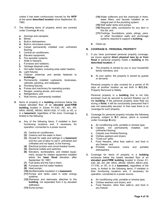unless it has been continuously insured by the **NFIP** at the same **described location** since September 30, 1982.

- **7.** The following items of property which are covered under Coverage **A** only:
	- **a.** Awnings and canopies;
	- **b.** Blinds;
	- **c.** Built-in dishwashers;
	- **d.** Built-in microwave ovens;
	- **e.** Carpet permanently installed over unfinished flooring;
	- **f.** Central air conditioners;
	- **g.** Elevator equipment;
	- **h.** Fire sprinkler systems;
	- **i.** Walk-in freezers;
	- **j.** Furnaces and radiators;
	- **k.** Garbage disposal units;
	- **l.** Hot water heaters, including solar water heaters;
	- **m.** Light fixtures:
	- **n.** Outdoor antennas and aerials fastened to **buildings**;
	- **o.** Permanently installed cupboards, bookcases, cabinets, paneling, and wallpaper;
	- **p.** Plumbing fixtures;
	- **q.** Pumps and machinery for operating pumps;
	- **r.** Ranges, cooking stoves, and ovens;
	- **s.** Refrigerators; and
	- **t.** Wall mirrors, permanently installed.
- **8.** Items of property in a **building** enclosure below the lowest elevated floor of an **elevated post-FIRM building** located in Zones A1-A30, AE, AH, AR, AR/A, AR/AE, AR/AH, AR/A1-A30, V1-V30, or VE, or in a **basement,** regardless of the zone. Coverage is limited to the following:
	- **a.** Any of the following items, if installed in their functioning locations and, if necessary for operation, connected to a power source:
		- **(1)** Central air conditioners;
		- **(2)** Cisterns and the water in them;
		- **(3)** Drywall for walls and ceilings in a **basement** and the cost of labor to nail it, unfinished and unfloated and not taped, to the framing;
		- **(4)** Electrical junction and circuit breaker boxes;
		- **(5)** Electrical outlets and switches;
		- **(6)** Elevators, dumbwaiters, and related equipment, except for related equipment installed below the **base flood** elevation after September 30, 1987;
		- **(7)** Fuel tanks and the fuel in them;
		- **(8)** Furnaces and hot water heaters;
		- **(9)** Heat pumps;
		- **(10)** Nonflammable insulation in a **basement**;
		- **(11)** Pumps and tanks used in solar energy systems;
		- **(12)** Stairways and staircases attached to the **building**, not separated from it by elevated walkways;
		- **(13)** Sump pumps;
- **(14)** Water softeners and the chemicals in them, water filters, and faucets installed as an integral part of the plumbing system;
- **(15)** Well water tanks and pumps;
- **(16)** Required utility connections for any item in this list; and
- **(17)** Footings, foundations, posts, pilings, piers, or other foundation walls and anchorage systems required to support a **building.**
- **b.** Clean-up.

#### **B. COVERAGE B - PERSONAL PROPERTY**

- **1.** If you have purchased personal property coverage, we insure against **direct physical loss by or from flood** to personal property inside a **building** at the **described location**, if:
	- **a.** The property is owned by you or your household family members; and
	- **b.** At your option, the property is owned by guests or servants.

Personal property is also covered for a period of 45 days at another location as set forth in **III.C.2.b.**, Property Removed to Safety.

Personal property in a **building** that is not fully enclosed must be secured to prevent flotation out of the **building**. If the personal property does float out during a **flood**, it will be conclusively presumed that it was not reasonably secured. In that case there is no coverage for such property.

- **2.** Coverage for personal property includes the following property, subject to **B.1.** above, which is covered under Coverage **B** only:
	- **a.** Air conditioning units, portable or window type;
	- **b.** Carpets, not permanently installed, over unfinished flooring;
	- **c.** Carpets over finished flooring;
	- **d.** Clothes washers and dryers;
	- **e.** "Cook-out" grills;
	- **f.** Food freezers, other than walk-in, and food in any freezer; and
	- **g.** Portable microwave ovens and portable dishwashers.
- **3.** Coverage for items of property in a **building**  enclosure below the lowest elevated floor of an **elevated post-FIRM building** located in Zones A1- A30, AE, AH, AR, AR/A, AR/AE, AR/AH, AR/A1-A30, V1-V30, or VE, or in a **basement,** regardless of the zone, is limited to the following items, if installed in their functioning locations and, if necessary for operation, connected to a power source:
	- **a.** Air conditioning units, portable or window type;
	- **b.** Clothes washers and dryers; and
	- **c.** Food freezers, other than walk-in, and food in any freezer.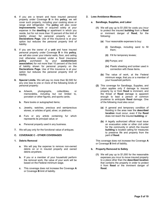- **4.** If you are a tenant and have insured personal property under Coverage **B** in this **policy**, we will cover such property, including your cooking stove or range and refrigerator. The **policy** will also cover **improvements** made or acquired solely at your expense in the **dwelling** or apartment in which you reside, but for not more than 10 percent of the limit of liability shown for personal property on the **Declarations Page**. Use of this insurance is at your option but reduces the personal property limit of liability.
- **5.** If you are the owner of a **unit** and have insured personal property under Coverage **B** in this **policy**, we will also cover your interior walls, floor, and ceiling (not otherwise covered under a flood insurance<br> **policy** purchased by your **condominium policy** purchased by your **condominium association**) for not more than 10 percent of the limit of liability shown for personal property on the **Declarations Page**. Use of this insurance is at your option but reduces the personal property limit of liability.
- **6. Special Limits.** We will pay no more than \$2,500 for any one loss to one or more of the following kinds of personal property:
	- **a.** Artwork, photographs, collectibles, or memorabilia, including but not limited to, porcelain or other figures, and sports cards;
	- **b.** Rare books or autographed items;
	- **c.** Jewelry, watches, precious and semiprecious stones, or articles of gold, silver, or platinum;
	- **d.** Furs or any article containing fur which represents its principal value; or
	- **e.** Personal property used in any business.
- **7.** We will pay only for the functional value of antiques.

# **C. COVERAGE C - OTHER COVERAGES**

# **1. Debris Removal**

- **a.** We will pay the expense to remove non-owned debris on or in insured property and owned debris anywhere.
- **b.** If you or a member of your household perform the removal work, the value of your work will be based on the Federal minimum wage.
- **c.** This coverage does not increase the Coverage **A** or Coverage **B** limit of liability.

#### **2. Loss Avoidance Measures**

# **a. Sandbags, Supplies, and Labor**

- **(1)** We will pay up to \$1,000 for costs you incur to protect the insured **building** from a **flood**  or imminent danger of **flood**, for the following:
	- **(a)** Your reasonable expenses to buy:
		- **(i)** Sandbags, including sand to fill them;
		- **(ii)** Fill for temporary levees;
		- **(iii)** Pumps; and
		- **(iv)** Plastic sheeting and lumber used in connection with these items.
	- **(b)** The value of work, at the Federal minimum wage, that you or a member of your household perform.
- **(2)** This coverage for Sandbags, Supplies, and Labor applies only if damage to insured property by or from **flood** is imminent, and the threat of **flood** damage is apparent enough to lead a person of common prudence to anticipate **flood** damage. One of the following must also occur:
	- **(a)** A general and temporary condition of flooding in the area near the **described location** must occur, even if the **flood** does not reach the insured **building**; or
	- **(b)** A legally authorized official must issue an evacuation order or other civil order for the community in which the insured **building** is located calling for measures to preserve life and property from the peril of **flood**.

This coverage does not increase the Coverage **A** or Coverage **B** limit of liability.

# **b. Property Removed to Safety**

**(1)** We will pay up to \$1,000 for the reasonable expenses you incur to move insured property to a place other than the **described location** that contains the property in order to protect it from **flood** or the imminent danger of **flood**.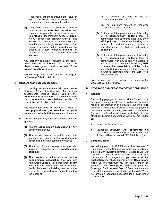Reasonable expenses include the value of work, at the Federal minimum wage, that you or a member of your household perform.

**(2)** If you move insured property to a location other than the **described location** that contains the property, in order to protect it from **flood** or the imminent danger of **flood**, we will cover such property while at that location for a period of 45 consecutive days from the date you begin to move it there. The personal property that is moved must be placed in a fully enclosed **building** or otherwise reasonably protected from the elements.

Any property removed, including a moveable home described in **II.B.6.b.** and **c.**, must be placed above ground level or outside of the **special flood hazard area.** 

This coverage does not increase the Coverage **A** or Coverage **B** limit of liability.

# **3. Condominium Loss Assessments**

**a.** If this **policy** insures a **unit**, we will pay, up to the Coverage **A** limit of liability, your share of loss assessments charged against you by the **condominium association** in accordance with the **condominium association's** articles of association, declarations and your deed.

 The assessment must be made as a result of **direct physical loss by or from flood** during the **policy** term, to the **building's** common elements.

- **b.** We will not pay any loss assessment charged against you:
	- **(1)** And the **condominium association** by any governmental body;
	- **(2)** That results from a deductible under the insurance purchased by the **condominium association** insuring common elements;
	- **(3)** That results from a loss to personal property, including contents of a **condominium building**;
	- **(4)** That results from a loss sustained by the **condominium association** that was not reimbursed under a flood insurance **policy**  written in the name of the association under the **Act** because the **building** was not, at the time of loss, insured for an amount equal to the lesser of:
- **(a)** 80 percent or more of its full replacement cost; or
- **(b)** The maximum amount of insurance permitted under the **Act**;
- **(5)** To the extent that payment under this **policy** for a **condominium building** loss, in combination with payments under any other **NFIP policies** for the same **building** loss, exceeds the maximum amount of insurance permitted under the **Act** for that kind of **building**; or
- **(6)** To the extent that payment under this **policy** for a **condominium building** loss, in combination with any recovery available to you as a tenant in common under any **NFIP condominium association policies** for the same **building** loss, exceeds the amount of insurance permitted under the **Act** for a single-family dwelling.

Loss assessment coverage does not increase the Coverage **A** limit of liability.

# **D. COVERAGE D - INCREASED COST OF COMPLIANCE**

# **1. General**

This **policy** pays you to comply with a State or local floodplain management law or ordinance affecting repair or reconstruction of a structure suffering **flood**  damage. Compliance activities eligible for payment are: elevation, floodproofing, relocation, or demolition (or any combination of these activities) of your structure**.** Eligible floodproofing activities are limited to:

- **a.** Nonresidential structures.
- **b.** Residential structures with **basements** that satisfy FEMA's standards published in the Code of Federal Regulations [44 CFR 60.6 (b) or (c)].

# **2. Limit of Liability**

We will pay you up to \$30,000 under this Coverage **D**  - Increased Cost of Compliance, which only applies to **policies** with **building** coverage (Coverage **A**). Our payment of claims under Coverage **D** is in addition to the amount of coverage which you selected on the **application** and which appears on the **Declarations Page.** But the maximum you can collect under this **policy** for both Coverage **A** - Building Property and Coverage **D** - Increased Cost of Compliance cannot exceed the maximum permitted under the **Act.** We do not charge a separate deductible for a claim under Coverage **D**.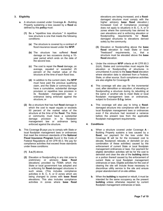# **3. Eligibility**

- **a.** A structure covered under Coverage **A** Building Property sustaining a loss caused by a **flood** as defined by this **policy** must:
	- **(1)** Be a "repetitive loss structure." A repetitive loss structure is one that meets the following conditions:
		- **(a)** The structure is covered by a contract of flood insurance issued under the **NFIP**.
		- **(b)** The structure has suffered **flood** damage on two occasions during a 10 year period which ends on the date of the second loss.
		- **(c)** The cost to repair the **flood** damage, on average, equaled or exceeded 25 percent of the market value of the structure at the time of each flood loss.
		- **(d)** In addition to the current claim, the **NFIP**  must have paid the previous qualifying claim, and the State or community must have a cumulative, substantial damage provision or repetitive loss provision in its floodplain management law or ordinance being enforced against the structure; or
	- **(2)** Be a structure that has had **flood** damage in which the cost to repair equals or exceeds 50 percent of the market value of the structure at the time of the **flood**. The State or community must have a substantial damage provision in its floodplain management law or ordinance being enforced against the structure.
- **b.** This Coverage **D** pays you to comply with State or local floodplain management laws or ordinances that meet the minimum standards of the **National Flood Insurance Program** found in the Code of Federal Regulations at 44 CFR 60.3. We pay for compliance activities that exceed those standards under these conditions:
	- **(1) 3.a.(1)** above.
	- **(2)** Elevation or floodproofing in any risk zone to preliminary or advisory **base flood** elevations provided by FEMA which the State or local government has adopted and is enforcing for **flood**-damaged structures in such areas. (This includes compliance activities in B, C, X, or D zones which are being changed to zones with **base flood** elevations. This also includes compliance activities in zones where **base flood**

elevations are being increased, and a **flood**damaged structure must comply with the higher advisory **base flood** elevation.) Increased Cost of Compliance coverage does not apply to situations in B, C, X, or D zones where the community has derived its own elevations and is enforcing elevation or floodproofing requirements for **flood**damaged structures to elevations derived solely by the community.

- **(3)** Elevation or floodproofing above the **base flood** elevation to meet State or local "freeboard" requirements, i.e., that a structure must be elevated above the **base flood** elevation.
- **c.** Under the minimum **NFIP** criteria at 44 CFR 60.3 (b)(4), States and communities must require the elevation or floodproofing of structures in unnumbered A zones to the **base flood** elevation where elevation data is obtained from a Federal, State, or other source. Such compliance activities are also eligible for Coverage **D**.
- **d.** This coverage will also pay for the incremental cost, after demolition or relocation, of elevating or floodproofing a structure during its rebuilding at the same or another site to meet State or local floodplain management laws or ordinances, subject to Exclusion **D.5.g.** below.
- **e.** This coverage will also pay to bring a **flood**damaged structure into compliance with State or local floodplain management laws or ordinances even if the structure had received a variance before the present loss from the applicable floodplain management requirements.

# **4. Conditions**

- **a.** When a structure covered under Coverage **A** Building Property sustains a loss caused by a **flood**, our payment for the loss under this Coverage **D** will be for the increased cost to elevate, floodproof, relocate, or demolish (or any combination of these activities) caused by the enforcement of current State or local floodplain management ordinances or laws. Our payment for eligible demolition activities will be for the cost to demolish and clear the site of the **building** debris or a portion thereof caused by the enforcement of current State or local floodplain management ordinances or laws. Eligible activities for the cost of clearing the site will include those necessary to discontinue utility service to the site and ensure proper abandonment of on-site utilities.
- **b.** When the **building** is repaired or rebuilt, it must be intended for the same occupancy as the present **building** unless otherwise required by current floodplain management ordinances or laws.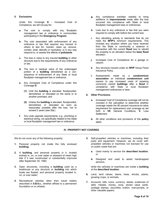# **5. Exclusions**

Under this Coverage **D** - Increased Cost of Compliance, we will not pay for:

- **a.** The cost to comply with any floodplain management law or ordinance in communities participating in the **Emergency Program**.
- **b.** The cost associated with enforcement of any ordinance or law that requires any insured or others to test for, monitor, clean up, remove, contain, treat, detoxify or neutralize, or in any way respond to, or assess the effects of **pollutants**.
- **c.** The loss in value to any insured **building** or other structure due to the requirements of any ordinance or law.
- **d.** The loss in residual value of the undamaged portion of a **building** demolished as a consequence of enforcement of any State or local floodplain management law or ordinance.
- **e.** Any Increased Cost of Compliance under this Coverage **D**:
	- **(1)** Until the **building** is elevated, floodproofed, demolished, or relocated on the same or to another premises; and
	- **(2)** Unless the **building** is elevated, floodproofed, demolished, or relocated as soon as reasonably possible after the loss, not to exceed 2 years (see **3.b.**).
- **f.** Any code upgrade requirements, e.g., plumbing or electrical wiring, not specifically related to the State or local floodplain management law or ordinance.
- **g.** Any compliance activities needed to bring additions or **improvements** made after the loss occurred into compliance with State or local floodplain management laws or ordinances.
- **h.** Loss due to any ordinance or law that you were required to comply with before the current loss.
- **i.** Any rebuilding activity to standards that do not meet the **NFIP's** minimum requirements. This includes any situation where you have received from the State or community a variance in connection with the current **flood** loss to rebuild the property to an elevation below the **base flood** elevation.
- **j.** Increased Cost of Compliance for a garage or carport.
- **k.** Any structure insured under an **NFIP** Group Flood Insurance Policy.
- **l.** Assessments made by a **condominium association** on individual **condominium unit**  owners to pay increased costs of repairing commonly owned **buildings** after a **flood** in compliance with State or local floodplain management ordinances or laws.

# **6. Other Provisions**

- **a.** Increased Cost of Compliance coverage will not be included in the calculation to determine whether coverage meets the 80 percent insurance-to-value requirement for replacement cost coverage as set forth in **VII.** General Conditions, **V.** Loss Settlement.
- **b.** All other conditions and provisions of this **policy** apply.

# **IV. PROPERTY NOT COVERED**

We do not cover any of the following property:

- **1.** Personal property not inside the fully enclosed **building**;
- **2.** A **building**, and personal property in it, located entirely in, on, or over water or seaward of mean high tide if it was constructed or substantially improved after September 30, 1982;
- **3.** Open structures, including a **building** used as a boathouse or any structure or **building** into which boats are floated, and personal property located in, on, or over water;
- **4.** Recreational vehicles other than travel trailers described in **II.B.6.c.**, whether affixed to a permanent foundation or on wheels;
- **5.** Self-propelled vehicles or machines, including their parts and equipment. However, we do cover selfpropelled vehicles or machines not licensed for use on public roads that are:
	- **a.** Used mainly to service the **described location**, or
	- **b.** Designed and used to assist handicapped persons,

while the vehicles or machines are inside a **building** at the **described location**;

- **6.** Land, land values, lawns, trees, shrubs, plants, growing crops, or animals;
- **7.** Accounts, bills, coins, currency, deeds, evidences of debt, medals, money, scrip, stored value cards, postage stamps, securities, bullion, manuscripts, or other valuable papers;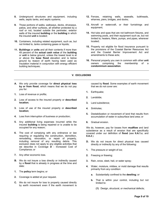- **8.** Underground structures and equipment, including wells, septic tanks, and septic systems;
- **9.** Those portions of walks, walkways, decks, driveways, patios, and other surfaces, all whether protected by a roof or not, located outside the perimeter, exterior walls of the insured **building** or the **building** in which the insured **unit** is located;
- **10.** Containers, including related equipment, such as, but not limited to, tanks containing gases or liquids;
- **11. Buildings** or **units** and all their contents if more than 49 percent of the **actual cash value** of the **building**  or **unit** is below ground, unless the lowest level is at or above the **base flood** elevation and is below ground by reason of earth having been used as insulation material in conjunction with energy efficient building techniques;
- **12.** Fences, retaining walls, seawalls, bulkheads, wharves, piers, bridges, and docks;
- **13.** Aircraft or watercraft, or their furnishings and equipment;
- **14.** Hot tubs and spas that are not bathroom fixtures, and swimming pools, and their equipment such as, but not limited to, heaters, filters, pumps, and pipes, wherever located;
- **15.** Property not eligible for flood insurance pursuant to the provisions of the Coastal Barrier Resources Act and the Coastal Barrier Improvement Act and amendments to these acts;
- **16.** Personal property you own in common with other **unit** owners comprising the membership of a **condominium association**.

#### **V. EXCLUSIONS**

- **A.** We only provide coverage for **direct physical loss by or from flood**, which means that we do not pay you for:
- **1.** Loss of revenue or profits;
- **2.** Loss of access to the insured property or **described location**;
- **3.** Loss of use of the insured property or **described location**;
- **4.** Loss from interruption of business or production;
- **5.** Any additional living expenses incurred while the insured **building** is being repaired or is unable to be occupied for any reason;
- **6.** The cost of complying with any ordinance or law requiring or regulating the construction, demolition, remodeling, renovation, or repair of property, including removal of any resulting debris. This exclusion does not apply to any eligible activities that we describe in Coverage **D** - Increased Cost of Compliance; or
- **7.** Any other economic loss.
- **B.** We do not insure a loss directly or indirectly caused by a **flood** that is already in progress at the time and date:
- **1.** The **policy** term begins; or
- **2.** Coverage is added at your request.
- **C.** We do not insure for loss to property caused directly by earth movement even if the earth movement is

caused by **flood**. Some examples of earth movement that we do not cover are:

- **1.** Earthquake;
- **2.** Landslide;
- **3.** Land subsidence;
- **4.** Sinkholes;
- **5.** Destabilization or movement of land that results from accumulation of water in subsurface land area; or
- **6.** Gradual erosion.

We do, however, pay for losses from **mudflow** and land subsidence as a result of erosion that are specifically covered under our definition of **flood** (see **II.A.1.c.** and **II.A.2**.).

- **D.** We do not insure for direct physical loss caused directly or indirectly by any of the following:
- **1.** The pressure or weight of ice;
- **2.** Freezing or thawing;
- **3.** Rain, snow, sleet, hail, or water spray;
- **4.** Water, moisture, mildew, or mold damage that results primarily from any condition:
	- **a.** Substantially confined to the **dwelling**; or
	- **b.** That is within your control, including but not limited to:
		- **(1)** Design, structural, or mechanical defects;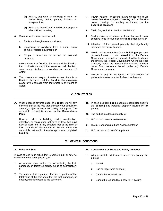- **(2)** Failure, stoppage, or breakage of water or sewer lines, drains, pumps, fixtures, or equipment; or
- **(3)** Failure to inspect and maintain the property after a **flood** recedes;
- **5.** Water or waterborne material that:
	- **a.** Backs up through sewers or drains;
	- **b.** Discharges or overflows from a sump, sump pump, or related equipment; or
	- **c.** Seeps or leaks on or through the covered property;

unless there is a **flood** in the area and the **flood** is the proximate cause of the sewer or drain backup, sump pump discharge or overflow, or seepage of water;

**6.** The pressure or weight of water unless there is a **flood** in the area and the **flood** is the proximate cause of the damage from the pressure or weight of water;

- **7.** Power, heating, or cooling failure unless the failure results from **direct physical loss by or from flood** to power, heating, or cooling equipment on the **described location**;
- **8.** Theft, fire, explosion, wind, or windstorm;
- **9.** Anything you or any member of your household do or conspire to do to cause loss by **flood** deliberately; or
- **10.** Alteration of the insured property that significantly increases the risk of flooding.
- **E.** We do not insure for loss to any **building** or personal property located on land leased from the Federal Government, arising from or incident to the flooding of the land by the Federal Government, where the lease expressly holds the Federal Government harmless under flood insurance issued under any Federal Government program.
- **F.** We do not pay for the testing for or monitoring of **pollutants** unless required by law or ordinance.

# **VI. DEDUCTIBLES**

**A.** When a loss is covered under this **policy**, we will pay only that part of the loss that exceeds your deductible amount, subject to the limit of liability that applies. The deductible amount is shown on the **Declarations Page**.

However, when a **building** under construction, alteration, or repair does not have at least two rigid exterior walls and a fully secured roof at the time of loss, your deductible amount will be two times the deductible that would otherwise apply to a completed **building**.

- **B.** In each loss from **flood**, separate deductibles apply to the **building** and personal property insured by this **policy**.
- **C.** The deductible does not apply to:
- **1. III.C.2.** Loss Avoidance Measures;
- **2**. **III.C.3.** Condominium Loss Assessments; or
- **3**. **III.D.** Increased Cost of Compliance.

# **VII. GENERAL CONDITIONS**

# **A. Pairs and Sets**

In case of loss to an article that is part of a pair or set, we will have the option of paying you:

- **1.** An amount equal to the cost of replacing the lost, damaged, or destroyed article, minus its depreciation; or
- **2.** The amount that represents the fair proportion of the total value of the pair or set that the lost, damaged, or destroyed article bears to the pair or set.

# **B. Concealment or Fraud and Policy Voidance**

- **1.** With respect to all insureds under this **policy**, this **policy:**
	- **a.** Is void;
	- **b.** Has no legal force or effect;
	- **c.** Cannot be renewed; and
	- **d.** Cannot be replaced by a new **NFIP policy;**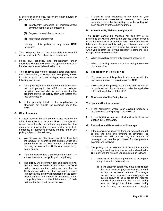if, before or after a loss, you or any other insured or your agent have at any time:

- **(1)** Intentionally concealed or misrepresented any material fact or circumstance;
- **(2)** Engaged in fraudulent conduct; or
- **(3)** Made false statements;

relating to this **policy** or any other **NFIP** insurance.

- **2.** This **policy** will be void as of the date the wrongful acts described in **B.1.** above were committed.
- **3.** Fines, civil penalties, and imprisonment under applicable Federal laws may also apply to the acts of fraud or concealment described above.
- **4.** This **policy** is also void for reasons other than fraud, misrepresentation, or wrongful act. This **policy** is void from its inception and has no legal force under the following conditions:
	- **a.** If the property is located in a community that was not participating in the **NFIP** on the **policy's** inception date and did not join or reenter the program during the **policy** term and before the loss occurred; or
	- **b.** If the property listed on the **application** is otherwise not eligible for coverage under the **NFIP**.

#### **C. Other Insurance**

- **1.** If a loss covered by this **policy** is also covered by other insurance that includes **flood** coverage not issued under the **Act**, we will not pay more than the amount of insurance that you are entitled to for lost, damaged, or destroyed property insured under this **policy** subject to the following:
	- **a.** We will pay only the proportion of the loss that the amount of insurance that applies under this **policy** bears to the total amount of insurance covering the loss, unless **C.1.b.** or **c.** immediately below applies.
	- **b.** If the other policy has a provision stating that it is excess insurance, this **policy** will be primary.
	- **c.** This **policy** will be primary (but subject to its own deductible) up to the deductible in the other **flood**  policy (except another policy as described in **C.1.b.** above). When the other deductible amount is reached, this **policy** will participate in the same proportion that the amount of insurance under this **policy** bears to the total amount of both policies, for the remainder of the loss.

**2.** If there is other insurance in the name of your **condominium association** covering the same property covered by this **policy**, then this **policy** will be in excess over the other insurance.

# **D. Amendments, Waivers, Assignment**

This **policy** cannot be changed nor can any of its provisions be waived without the express written consent of the Federal Insurance Administrator. No action that we take under the terms of this **policy** constitutes a waiver of any of our rights. You may assign this **policy** in writing when you transfer title of your property to someone else, except under these conditions:

- **1.** When this **policy** covers only personal property; or
- **2.** When this **policy** covers a structure during the course of construction.

# **E. Cancellation of Policy by You**

- **1.** You may cancel this **policy** in accordance with the applicable rules and regulations of the **NFIP**.
- **2.** If you cancel this **policy**, you may be entitled to a full or partial refund of premium also under the applicable rules and regulations of the **NFIP**.

#### **F. Nonrenewal of the Policy by Us**

Your **policy** will not be renewed:

- **1.** If the community where your covered property is located stops participating in the **NFIP;** or
- **2.** If your **building** has been declared ineligible under Section 1316 of the **Act**.

# **G. Reduction and Reformation of Coverage**

- **1.** If the premium we received from you was not enough to buy the kind and amount of coverage you requested, we will provide only the amount of coverage that can be purchased for the premium payment we received.
- **2.** The **policy** can be reformed to increase the amount of coverage resulting from the reduction described in **G.1.** above to the amount you requested as follows:
	- **a.** Discovery of insufficient premium or incomplete rating information before a loss.
		- **(1)** If we discover before you have a **flood** loss that your premium payment was not enough to buy the requested amount of coverage, we will send you and any mortgagee or trustee known to us a bill for the required additional premium for the current **policy** term (or that portion of the current **policy**  term following any endorsement changing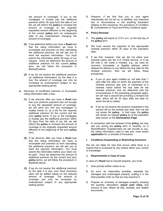the amount of coverage). If you or the mortgagee or trustee pay the additional premium within 30 days from the date of our bill, we will reform the **policy** to increase the amount of coverage to the originally requested amount effective to the beginning of the current **policy** term (or subsequent date of any endorsement changing the amount of coverage).

- **(2)** If we determine before you have a **flood** loss that the rating information we have is incomplete and prevents us from calculating the additional premium, we will ask you to send the required information. You must submit the information within 60 days of our request. Once we determine the amount of additional premium for the current **policy**  term, we will follow the procedure in **G.2.a.(1)** above.
- **(3)** If we do not receive the additional premium (or additional information) by the date it is due, the amount of coverage can only be increased by endorsement subject to any appropriate waiting period.
- **b.** Discovery of insufficient premium or incomplete rating information after a loss.
	- **(1)** If we discover after you have a **flood** loss that your premium payment was not enough to buy the requested amount of coverage, we will send you and any mortgagee or trustee known to us a bill for the required additional premium for the current and the prior **policy** terms. If you or the mortgagee or trustee pay the additional premium within 30 days from the date of our bill, we will reform the **policy** to increase the amount of coverage to the originally requested amount effective to the beginning of the prior **policy** term.
	- **(2)** If we discover after you have a **flood** loss that the rating information we have is incomplete and prevents us from calculating the additional premium, we will ask you to send the required information. You must submit the information before your claim can be paid. Once we determine the amount of additional premium for the current and prior **policy** terms, we will follow the procedure in **G.2.b.(1)** above.
	- **(3)** If we do not receive the additional premium by the date it is due, your flood insurance claim will be settled based on the reduced amount of coverage. The amount of coverage can only be increased by endorsement subject to any appropriate waiting period.

**3.** However, if we find that you or your agent intentionally did not tell us, or falsified, any important fact or circumstance or did anything fraudulent relating to this insurance, the provisions of Condition **B.** Concealment or Fraud and Policy Voidance apply.

# **H. Policy Renewal**

- **1.** This **policy** will expire at 12:01 a.m. on the last day of the **policy** term.
- **2.** We must receive the payment of the appropriate renewal premium within 30 days of the expiration date.
- **3.** If we find, however, that we did not place your renewal notice into the U.S. Postal Service, or if we did mail it, we made a mistake, e.g., we used an incorrect, incomplete, or illegible address, which delayed its delivery to you before the due date for the renewal premium, then we will follow these procedures:
	- **a.** If you or your agent notified us, not later than 1 year after the date on which the payment of the renewal premium was due, of nonreceipt of a renewal notice before the due date for the renewal premium, and we determine that the circumstances in the preceding paragraph apply, we will mail a second bill providing a revised due date, which will be 30 days after the date on which the bill is mailed.
	- **b.** If we do not receive the premium requested in the second bill by the revised due date, then we will not renew the **policy**. In that case, the **policy** will remain an expired **policy** as of the expiration date shown on the **Declarations Page**.
- **4.** In connection with the renewal of this **policy**, we may ask you during the **policy** term to recertify, on a Recertification Questionnaire we will provide to you, the rating information used to rate your most recent **application** for or renewal of insurance.

# **I. Conditions Suspending or Restricting Insurance**

We are not liable for loss that occurs while there is a hazard that is increased by any means within your control or knowledge.

# **J. Requirements in Case of Loss**

In case of a **flood** loss to insured property, you must:

- **1.** Give prompt written notice to us;
- **2.** As soon as reasonably possible, separate the damaged and undamaged property, putting it in the best possible order so that we may examine it;
- **3.** Prepare an inventory of damaged property showing the quantity, description, **actual cash value,** and amount of loss. Attach all bills, receipts, and related documents;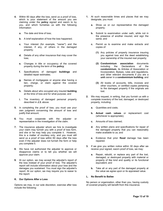- **4.** Within 60 days after the loss, send us a proof of loss, which is your statement of the amount you are claiming under the **policy** signed and sworn to by you, and which furnishes us with the following information:
	- **a.** The date and time of loss;
	- **b.** A brief explanation of how the loss happened;
	- **c.** Your interest (for example, "owner") and the interest, if any, of others in the damaged property;
	- **d.** Details of any other insurance that may cover the loss;
	- **e.** Changes in title or occupancy of the covered property during the term of the **policy**;
	- **f.** Specifications of damaged **buildings** and detailed repair estimates;
	- **g.** Names of mortgagees or anyone else having a lien, charge, or claim against the covered property;
	- **h.** Details about who occupied any insured **building** at the time of loss and for what purpose; and
	- **i.** The inventory of damaged personal property described in **J.3.** above.
- **5.** In completing the proof of loss, you must use your own judgment concerning the amount of loss and justify that amount.
- **6.** You must cooperate with the adjuster or representative in the investigation of the claim.
- **7.** The insurance adjuster whom we hire to investigate your claim may furnish you with a proof of loss form, and she or he may help you complete it. However, this is a matter of courtesy only, and you must still send us a proof of loss within 60 days after the loss even if the adjuster does not furnish the form or help you complete it.
- **8.** We have not authorized the adjuster to approve or disapprove claims or to tell you whether we will approve your claim.
- **9.** At our option, we may accept the adjuster's report of the loss instead of your proof of loss. The adjuster's report will include information about your loss and the damages you sustained. You must sign the adjuster's report. At our option, we may require you to swear to the report.

#### **K. Our Options After a Loss**

Options we may, in our sole discretion, exercise after loss include the following:

- **1.** At such reasonable times and places that we may designate, you must:
	- **a.** Show us or our representative the damaged property;
	- **b.** Submit to examination under oath, while not in the presence of another insured, and sign the same; and
	- **c.** Permit us to examine and make extracts and copies of:
		- **(1)** Any policies of property insurance insuring you against loss and the deed establishing your ownership of the insured real property;
		- **(2) Condominium association** documents including the Declarations of the **condominium**, its Articles of Association or Incorporation, Bylaws, rules and regulations, and other relevant documents if you are a **unit** owner in a **condominium building**; and
		- **(3)** All books of accounts, bills, invoices and other vouchers, or certified copies pertaining to the damaged property if the originals are lost.
- **2.** We may request, in writing, that you furnish us with a complete inventory of the lost, damaged, or destroyed property, including:
	- **a.** Quantities and costs;
	- **b. Actual cash values** or replacement cost (whichever is appropriate);
	- **c.** Amounts of loss claimed;
	- **d.** Any written plans and specifications for repair of the damaged property that you can reasonably make available to us; and
	- **e.** Evidence that prior **flood** damage has been repaired.
- **3.** If we give you written notice within 30 days after we receive your signed, sworn proof of loss, we may:
	- **a.** Repair, rebuild, or replace any part of the lost, damaged, or destroyed property with material or property of like kind and quality or its functional equivalent; and
	- **b.** Take all or any part of the damaged property at the value we agree upon or its appraised value.

# **L. No Benefit to Bailee**

No person or organization, other than you, having custody of covered property will benefit from this insurance.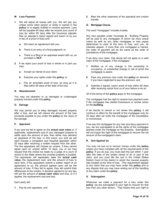# **M. Loss Payment**

- **1.** We will adjust all losses with you. We will pay you unless some other person or entity is named in the **policy** or is legally entitled to receive payment. Loss will be payable 60 days after we receive your proof of loss **(**or within 90 days after the insurance adjuster files an adjuster's report signed and sworn to by you in lieu of a proof of loss) and:
	- **a.** We reach an agreement with you;
	- **b.** There is an entry of a final judgment; or
	- **c.** There is a filing of an appraisal award with us, as provided in **VII.P**.
- **2.** If we reject your proof of loss in whole or in part you may:
	- **a.** Accept our denial of your claim;
	- **b.** Exercise your rights under this **policy**; or
	- **c.** File an amended proof of loss, as long as it is filed within 60 days of the date of the loss.

# **N. Abandonment**

You may not abandon to us damaged or undamaged property insured under this **policy**.

#### **O. Salvage**

We may permit you to keep damaged insured property after a loss, and we will reduce the amount of the loss proceeds payable to you under the **policy** by the value of the salvage.

# **P. Appraisal**

If you and we fail to agree on the **actual cash value** or, if applicable, replacement cost of your damaged property to settle upon the amount of loss, then either may demand an appraisal of the loss. In this event, you and we will each choose a competent and impartial appraiser within 20 days after receiving a written request from the other. The two appraisers will choose an umpire. If they cannot agree upon an umpire within 15 days, you or we may request that the choice be made by a judge of a court of record in the State where the covered property is located. The appraisers will separately state the **actual cash value,** the replacement cost, and the amount of loss to each item**.** If the appraisers submit a written report of an agreement to us, the amount agreed upon will be the amount of loss. If they fail to agree, they will submit their differences to the umpire. A decision agreed to by any two will set the amount of **actual cash value** and loss, or if it applies, the replacement cost and loss.

Each party will:

**1.** Pay its own appraiser; and

**2.** Bear the other expenses of the appraisal and umpire equally.

# **Q. Mortgage Clause**

The word "mortgagee" includes trustee.

Any loss payable under Coverage **A** - Building Property will be paid to any mortgagee of whom we have actual notice as well as any other mortgagee or loss payee determined to exist at the time of loss, and you, as interests appear. If more than one mortgagee is named, the order of payment will be the same as the order of precedence of the mortgages.

If we deny your claim, that denial will not apply to a valid claim of the mortgagee, if the mortgagee:

- **1.** Notifies us of any change in the ownership or occupancy, or substantial change in risk of which the mortgagee is aware;
- **2.** Pays any premium due under this **policy** on demand if you have neglected to pay the premium; and
- **3.** Submits a signed, sworn proof of loss within 60 days after receiving notice from us of your failure to do so.

All of the terms of this **policy** apply to the mortgagee.

The mortgagee has the right to receive loss payment even if the mortgagee has started foreclosure or similar action on the **building**.

If we decide to cancel or not renew this **policy,** it will continue in effect for the benefit of the mortgagee only for 30 days after we notify the mortgagee of the cancellation or nonrenewal.

If we pay the mortgagee for any loss and deny payment to you, we are subrogated to all the rights of the mortgagee granted under the mortgage on the property. Subrogation will not impair the right of the mortgagee to recover the full amount of the mortgagee's claim.

# **R. Suit Against Us**

You may not sue us to recover money under this **policy** unless you have complied with all the requirements of the **policy**. If you do sue, you must start the suit within 1 year after the date of the written denial of all or part of the claim, and you must file the suit in the United States District Court of the district in which the insured property was located at the time of loss. This requirement applies to any claim that you may have under this **policy** and to any dispute that you may have arising out of the handling of any claim under the **policy**.

# **S. Subrogation**

Whenever we make a payment for a loss under this **policy**, we are subrogated to your right to recover for that loss from any other person. That means that your right to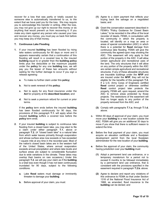recover for a loss that was partly or totally caused by someone else is automatically transferred to us, to the extent that we have paid you for the loss. We may require you to acknowledge this transfer in writing. After the loss, you may not give up our right to recover this money or do anything that would prevent us from recovering it. If you make any claim against any person who caused your loss and recover any money, you must pay us back first before you may keep any of that money.

# **T. Continuous Lake Flooding**

- **1.** If your insured **building** has been flooded by rising lake waters continuously for 90 days or more and it appears reasonably certain that a continuation of this flooding will result in a covered loss to the insured **building** equal to or greater than the **building policy** limits plus the deductible or the maximum payable under the **policy** for any one **building** loss, we will pay you the lesser of these two amounts without waiting for the further damage to occur if you sign a release agreeing:
	- **a.** To make no further claim under this **policy;**
	- **b.** Not to seek renewal of this **policy**;
	- **c.** Not to apply for any flood insurance under the **Act** for property at the **described location;** and
	- **d.** Not to seek a premium refund for current or prior terms.

If the **policy** term ends before the insured **building** has been flooded continuously for 90 days, the provisions of this paragraph **T.1.** will apply when the insured **building** suffers a covered loss before the **policy** term ends.

- **2.** If your insured **building** is subject to continuous lake flooding from a closed basin lake, you may elect to file a claim under either paragraph **T.1.** above or paragraph **T.2.** (A "closed basin lake" is a natural lake from which water leaves primarily through evaporation and whose surface area now exceeds or has exceeded 1 square mile at any time in the recorded past. Most of the nation's closed basin lakes are in the western half of the United States, where annual evaporation exceeds annual precipitation and where lake levels and surface areas are subject to considerable fluctuation due to wide variations in the climate. These lakes may overtop their basins on rare occasions.) Under this paragraph **T.2.** we will pay your claim as if the **building**  is a total loss even though it has not been continuously inundated for 90 days, subject to the following conditions:
	- **a.** Lake **flood** waters must damage or imminently threaten to damage your **building**.
	- **b.** Before approval of your claim, you must:
- **(1)** Agree to a claim payment that reflects your buying back the salvage on a negotiated basis; and
- **(2)** Grant the conservation easement described in FEMA's "Policy Guidance for Closed Basin Lakes," to be recorded in the office of the local recorder of deeds. FEMA, in consultation with the community in which the property is located, will identify on a map an area or areas of special consideration (ASC) in which there is a potential for **flood** damage from continuous lake flooding. FEMA will give the community the agreed-upon map showing the ASC. This easement will only apply to that portion of the property in the ASC. It will allow certain agricultural and recreational uses of the land. The only structures that it will allow on any portion of the property within the ASC are certain simple agricultural and recreational structures. If any of these allowable structures are insurable buildings under the **NFIP** and are insured under the **NFIP**, they will not be eligible for the benefits of this paragraph **T.2.** If a U.S. Army Corps of Engineers certified **flood** control project or otherwise certified **flood** control project later protects the property, FEMA will, upon request, amend the ASC to remove areas protected by those projects. The restrictions of the easement will then no longer apply to any portion of the property removed from the ASC; and
- **(3)** Comply with paragraphs **T.1.a.** through **T.1.d.** above.
- **c.** Within 90 days of approval of your claim, you must move your **building** to a new location outside the ASC. FEMA will give you an additional 30 days to move if you show that there is sufficient reason to extend the time.
- **d.** Before the final payment of your claim, you must acquire an elevation certificate and a floodplain development permit from the local floodplain administrator for the new location of your **building**.
- **e.** Before the approval of your claim, the community having jurisdiction over your **building** must:
	- **(1)** Adopt a permanent land use ordinance, or a temporary moratorium for a period not to exceed 6 months to be followed immediately by a permanent land use ordinance, that is consistent with the provisions specified in the easement required in paragraph **T.2.b.** above.
	- **(2)** Agree to declare and report any violations of this ordinance to FEMA so that under Section 1316 of the National Flood Insurance Act of 1968, as amended, flood insurance to the **building** can be denied; and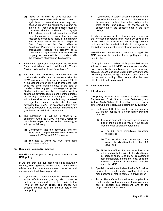- **(3)** Agree to maintain as deed-restricted, for purposes compatible with open space or agricultural or recreational use only, any affected property the community acquires an interest in. These deed restrictions must be consistent with the provisions of paragraph **T.2.b.** above, except that, even if a certified project protects the property, the land use restrictions continue to apply if the property was acquired under the Hazard Mitigation Grant Program or the Flood Mitigation Assistance Program. If a nonprofit land trust organization receives the property as a donation, that organization must maintain the property as deed-restricted, consistent with the provisions of paragraph **T.2.b.** above.
- **f.** Before the approval of your claim, the affected State must take all action set forth in FEMA's "Policy Guidance for Closed Basin Lakes."
- **g.** You must have **NFIP** flood insurance coverage continuously in effect from a date established by FEMA until you file a claim under paragraph **T.2.** If a subsequent owner buys **NFIP** insurance that goes into effect within 60 days of the date of transfer of title, any gap in coverage during that 60-day period will not be a violation of this continuous coverage requirement. For the purpose of honoring a claim under this paragraph **T.2.**, we will not consider to be in effect any increased coverage that became effective after the date established by FEMA. The exception to this is any increased coverage in the amount suggested by your insurer as an inflation adjustment.
- **h.** This paragraph **T.2.** will be in effect for a community when the FEMA Regional Director for the affected region provides to the community, in writing, the following:
	- **(1)** Confirmation that the community and the State are in compliance with the conditions in paragraphs **T.2.e.** and **T.2.f.** above; and
	- **(2)** The date by which you must have flood insurance in effect.

# **U. Duplicate Policies Not Allowed**

**1.** We will not insure your property under more than one **NFIP policy**.

If we find that the duplication was not knowingly created, we will give you written notice. The notice will advise you that you may choose one of several options under the following procedures:

**a.** If you choose to keep in effect the **policy** with the earlier effective date, you may also choose to add the coverage limits of the later **policy** to the limits of the earlier **policy**. The change will become effective as of the effective date of the later **policy**.

**b.** If you choose to keep in effect the **policy** with the later effective date, you may also choose to add the coverage limits of the earlier **policy** to the limits of the later **policy**. The change will be effective as of the effective date of the later **policy**.

In either case, you must pay the pro rata premium for the increased coverage limits within 30 days of the written notice. In no event will the resulting coverage limits exceed the permissible limits of coverage under the **Act** or your insurable interest, whichever is less.

We will make a refund to you, according to applicable **NFIP** rules, of the premium for the **policy** not being kept in effect.

**2.** Your option under Condition **U.** Duplicate Policies Not Allowed to elect which **NFIP policy** to keep in effect does not apply when duplicates have been knowingly created. Losses occurring under such circumstances will be adjusted according to the terms and conditions of the earlier **policy**. The **policy** with the later effective date will be canceled.

# **V. Loss Settlement**

**1. Introduction** 

This **policy** provides three methods of settling losses: Replacement Cost, Special Loss Settlement, and **Actual Cash Value**. Each method is used for a different type of property, as explained in **a.-c.** below.

- **a.** Replacement Cost loss settlement, described in **V.2.** below, applies to a single-family **dwelling** provided:
	- **(1)** It is your principal residence, which means that, at the time of loss, you or your spouse lived there for at least 80 percent of:
		- **(a)** The 365 days immediately preceding the loss; or
		- **(b)** The period of your ownership, if you owned the **dwelling** for less than 365 days; and
	- **(2)** At the time of loss, the amount of insurance in this **policy** that applies to the **dwelling** is 80 percent or more of its full replacement cost immediately before the loss, or is the maximum amount of insurance available under the **NFIP.**
- **b.** Special loss settlement, described in **V.3.** below, applies to a single-family **dwelling** that is a manufactured or mobile home or a travel trailer.
- **c. Actual Cash Value** loss settlement applies to a single-family **dwelling** not subject to replacement cost or special loss settlement, and to the property listed in **V.4.** below.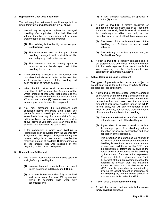#### **2. Replacement Cost Loss Settlement**

The following loss settlement conditions apply to a single-family **dwelling** described in **V.1.a.** above:

- **a.** We will pay to repair or replace the damaged **dwelling** after application of the deductible and without deduction for depreciation, but not more than the least of the following amounts:
	- **(1)** The **building** limit of liability shown on your **Declarations Page;**
	- **(2)** The replacement cost of that part of the **dwelling** damaged, with materials of like kind and quality, and for like use; or
	- **(3)** The necessary amount actually spent to repair or replace the damaged part of the **dwelling** for like use.
- **b.** If the **dwelling** is rebuilt at a new location, the cost described above is limited to the cost that would have been incurred if the **dwelling** had been rebuilt at its former location.
- **c.** When the full cost of repair or replacement is more than \$1,000 or more than 5 percent of the whole amount of insurance that applies to the **dwelling**, we will not be liable for any loss under **V.2.a.** above or **V.4.a.(2)** below unless and until actual repair or replacement is completed.
- **d.** You may disregard the replacement cost conditions above and make claim under this **policy** for loss to **dwellings** on an **actual cash value** basis. You may then make claim for any additional liability according to **V.2.a., b.,** and **c.** above, provided you notify us of your intent to do so within 180 days after the date of loss.
- **e.** If the community in which your **dwelling** is located has been converted from the **Emergency Program** to the **Regular Program** during the current **policy** term, then we will consider the maximum amount of available **NFIP** insurance to be the amount that was available at the beginning of the current **policy** term.

#### **3. Special Loss Settlement**

- **a.** The following loss settlement conditions apply to a single-family **dwelling** that:
	- **(1)** Is a manufactured or mobile home or a travel trailer, as defined in **II.B.6.b.** and **II.B.6.c.**;
	- **(2)** Is at least 16 feet wide when fully assembled and has an area of at least 600 square feet within its perimeter walls when fully assembled; and
- **(3)** Is your principal residence, as specified in **V.1.a.(1)** above.
- **b.** If such a **dwelling** is totally destroyed or damaged to such an extent that, in our judgment, it is not economically feasible to repair, at least to its predamage condition, we will, at our discretion, pay the least of the following amounts:
	- **(1)** The lesser of the replacement cost of the **dwelling** or 1.5 times the **actual cash value,** or
	- **(2)** The **building** limit of liability shown on your **Declarations Page.**
- **c.** If such a **dwelling** is partially damaged and, in our judgment, it is economically feasible to repair it to its predamage condition, we will settle the loss according to the Replacement Cost conditions in paragraph **V.2.** above.

#### **4. Actual Cash Value Loss Settlement**

The types of property noted below are subject to **actual cash value** [or in the case of **V.4.a.(2)** below, proportional] loss settlement.

- **a.** A **dwelling**, at the time of loss, when the amount of insurance on the **dwelling** is both less than 80 percent of its full replacement cost immediately before the loss and less than the maximum amount of insurance available under the **NFIP.** In that case**,** we will pay the greater of the following amounts, but not more than the amount of insurance that applies to that **dwelling**:
	- **(1)** The **actual cash value**, as defined in **II.B.2.,** of the damaged part of the **dwelling**; or
	- **(2)** A proportion of the cost to repair or replace the damaged part of the **dwelling**, without deduction for physical depreciation and after application of the deductible.

This proportion is determined as follows: If 80 percent of the full replacement cost of the **dwelling** is less than the maximum amount of insurance available under the **NFIP**, then the proportion is determined by dividing the actual amount of insurance on the **dwelling** by the amount of insurance that represents 80 percent of its full replacement cost. But if 80 percent of the full replacement cost of the **dwelling** is greater than the maximum amount of insurance available under the **NFIP**, then the proportion is determined by dividing the actual amount of insurance on the **dwelling** by the maximum amount of insurance available under the **NFIP**.

- **b.** A two-, three-, or four-family **dwelling.**
- **c.** A **unit** that is not used exclusively for singlefamily **dwelling** purposes.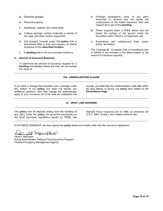- **d.** Detached garages.
- **e.** Personal property.
- **f.** Appliances, carpets, and carpet pads.
- **g.** Outdoor awnings, outdoor antennas or aerials of any type, and other outdoor equipment.
- **h.** Any property covered under this **policy** that is abandoned after a loss and remains as debris anywhere on the **described location**.
- **i.** A **dwelling** that is not your principal residence.

#### **5. Amount of Insurance Required**

To determine the amount of insurance required for a **dwelling** immediately before the loss, do not include the value of:

- **a.** Footings, foundations, piers, or any other structures or devices that are below the undersurface of the lowest basement floor and support all or part of the **dwelling;**
- **b.** Those supports listed in **V.5.a.** above that are below the surface of the ground inside the foundation walls if there is no basement; and
- **c.** Excavations and underground flues, pipes, wiring, and drains.

The Coverage **D** - Increased Cost of Compliance limit of liability is not included in the determination of the amount of insurance required.

# **VIII. LIBERALIZATION CLAUSE**

If we make a change that broadens your coverage under this edition of our **policy,** but does not require any additional premium, then that change will automatically apply to your insurance as of the date we implement the change, provided that this implementation date falls within 60 days before, or during, the **policy** term stated on the **Declarations Page**.

# **IX. WHAT LAW GOVERNS**

 $\mathcal{L}_\mathcal{L} = \mathcal{L}_\mathcal{L} = \mathcal{L}_\mathcal{L} = \mathcal{L}_\mathcal{L} = \mathcal{L}_\mathcal{L} = \mathcal{L}_\mathcal{L} = \mathcal{L}_\mathcal{L} = \mathcal{L}_\mathcal{L} = \mathcal{L}_\mathcal{L} = \mathcal{L}_\mathcal{L} = \mathcal{L}_\mathcal{L} = \mathcal{L}_\mathcal{L} = \mathcal{L}_\mathcal{L} = \mathcal{L}_\mathcal{L} = \mathcal{L}_\mathcal{L} = \mathcal{L}_\mathcal{L} = \mathcal{L}_\mathcal{L}$ 

This **policy** and all disputes arising from the handling of any claim under the **policy** are governed exclusively by the flood insurance regulations issued by FEMA, the National Flood Insurance Act of 1968, as amended (42 U.S.C. 4001, et seq.), and Federal common law.

IN WITNESS WHEREOF, we have signed this **policy** below and hereby enter into this Insurance Agreement.

In 21. Wallstod

David I. Maurstad Acting Administrator, National Flood Insurance Program Federal Emergency Management Agency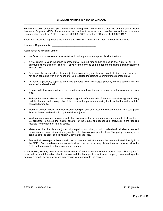# **CLAIM GUIDELINES IN CASE OF A FLOOD**  \_\_\_\_\_\_\_\_\_\_\_\_\_\_\_\_\_\_\_\_\_\_\_\_\_\_\_\_\_\_\_\_\_\_\_\_\_\_\_\_\_\_\_\_\_\_\_\_\_\_\_\_\_\_\_\_\_\_\_\_\_\_\_\_\_\_\_\_\_\_\_\_\_\_\_\_\_\_\_\_\_\_\_\_\_\_

\_\_\_\_\_\_\_\_\_\_\_\_\_\_\_\_\_\_\_\_\_\_\_\_\_\_\_\_\_\_\_\_\_\_\_\_\_\_\_\_\_\_\_\_\_\_\_\_\_\_\_\_\_\_\_\_\_\_\_\_\_\_\_\_\_\_\_\_\_\_\_\_\_\_\_\_\_\_\_\_\_\_\_\_\_\_

For the protection of you and your family, the following claim guidelines are provided by the National Flood Insurance Program (NFIP). If you are ever in doubt as to what action is needed, consult your insurance representative or call the NFIP toll-free at 1-800-638-6620 or on the TDD line at 1-800-447-9487.

Know your insurance representative's name and telephone number. List them here for fast reference:

Insurance Representative

Representative's Phone Number

- -Notify us or your insurance representative, in writing, as soon as possible after the flood.
- - If you report to your insurance representative, remind him or her to assign the claim to an NFIPapproved claims adjuster. The NFIP pays for the services of the independent claims adjuster assigned to your claim.
- - Determine the independent claims adjuster assigned to your claim and contact him or her if you have not been contacted within 24 hours after you reported the claim to your insurance representative.
- $\bullet$  As soon as possible, separate damaged property from undamaged property so that damage can be inspected and evaluated.
- $\bullet$  Discuss with the claims adjuster any need you may have for an advance or partial payment for your loss.
- - To help the claims adjuster, try to take photographs of the outside of the premises showing the flooding and the damage and photographs of the inside of the premises showing the height of the water and the damaged property.
- - Place all account books, financial records, receipts, and other loss verification material in a safe place for examination and evaluation by the claims adjuster.
- - Work cooperatively and promptly with the claims adjuster to determine and document all claim items. Be prepared to advise the claims adjuster of the cause and responsible party**(**ies), if the flooding resulted from other than natural cause.
- - Make sure that the claims adjuster fully explains, and that you fully understand, all allowances and procedures for processing claim payments on the basis of your proof of loss. This policy requires you to send us detailed proof of loss within 60 days after the loss.
- - Any and all coverage problems and claim allowance restrictions must be communicated directly from the NFIP. Claims adjusters are not authorized to approve or deny claims; their job is to report to the NFIP on the elements of flood cause and damage.

At our option, we may accept an adjuster's report of the loss instead of your proof of loss. The adjuster's report will include information about your loss and the damages to your insured property. You must sign the adjuster's report. At our option, we may require you to swear to the report.